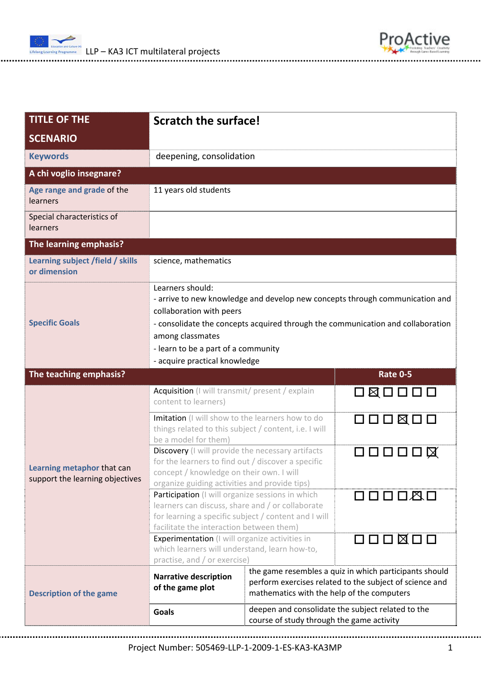

| <b>TITLE OF THE</b>                                           | <b>Scratch the surface!</b>                                                                                                                                                                                                                                                                                 |                                                                                                                                                                 |                                 |  |
|---------------------------------------------------------------|-------------------------------------------------------------------------------------------------------------------------------------------------------------------------------------------------------------------------------------------------------------------------------------------------------------|-----------------------------------------------------------------------------------------------------------------------------------------------------------------|---------------------------------|--|
| <b>SCENARIO</b>                                               |                                                                                                                                                                                                                                                                                                             |                                                                                                                                                                 |                                 |  |
| <b>Keywords</b>                                               | deepening, consolidation                                                                                                                                                                                                                                                                                    |                                                                                                                                                                 |                                 |  |
| A chi voglio insegnare?                                       |                                                                                                                                                                                                                                                                                                             |                                                                                                                                                                 |                                 |  |
| Age range and grade of the<br>learners                        | 11 years old students                                                                                                                                                                                                                                                                                       |                                                                                                                                                                 |                                 |  |
| Special characteristics of<br>learners                        |                                                                                                                                                                                                                                                                                                             |                                                                                                                                                                 |                                 |  |
| The learning emphasis?                                        |                                                                                                                                                                                                                                                                                                             |                                                                                                                                                                 |                                 |  |
| Learning subject /field / skills<br>or dimension              | science, mathematics                                                                                                                                                                                                                                                                                        |                                                                                                                                                                 |                                 |  |
| <b>Specific Goals</b>                                         | Learners should:<br>- arrive to new knowledge and develop new concepts through communication and<br>collaboration with peers<br>- consolidate the concepts acquired through the communication and collaboration<br>among classmates<br>- learn to be a part of a community<br>- acquire practical knowledge |                                                                                                                                                                 |                                 |  |
| The teaching emphasis?                                        |                                                                                                                                                                                                                                                                                                             |                                                                                                                                                                 | <b>Rate 0-5</b>                 |  |
| Learning metaphor that can<br>support the learning objectives | Acquisition (I will transmit/ present / explain<br>content to learners)                                                                                                                                                                                                                                     |                                                                                                                                                                 |                                 |  |
|                                                               | Imitation (I will show to the learners how to do<br>things related to this subject / content, i.e. I will<br>be a model for them)                                                                                                                                                                           |                                                                                                                                                                 | $\Box\Box\Box\boxtimes\Box\Box$ |  |
|                                                               | Discovery (I will provide the necessary artifacts<br>コロロロロ区<br>for the learners to find out / discover a specific<br>concept / knowledge on their own. I will<br>organize guiding activities and provide tips)                                                                                              |                                                                                                                                                                 |                                 |  |
|                                                               | Participation (I will organize sessions in which<br>learners can discuss, share and / or collaborate<br>for learning a specific subject / content and I will<br>facilitate the interaction between them)                                                                                                    |                                                                                                                                                                 | 口口口口风口                          |  |
|                                                               | O O O ⊠ O O<br><b>Experimentation</b> (I will organize activities in<br>which learners will understand, learn how-to,<br>practise, and / or exercise)                                                                                                                                                       |                                                                                                                                                                 |                                 |  |
| <b>Description of the game</b>                                | <b>Narrative description</b><br>of the game plot                                                                                                                                                                                                                                                            | the game resembles a quiz in which participants should<br>perform exercises related to the subject of science and<br>mathematics with the help of the computers |                                 |  |
|                                                               | <b>Goals</b>                                                                                                                                                                                                                                                                                                | deepen and consolidate the subject related to the<br>course of study through the game activity                                                                  |                                 |  |

Project Number: 505469‐LLP‐1‐2009‐1‐ES‐KA3‐KA3MP 1

ProActive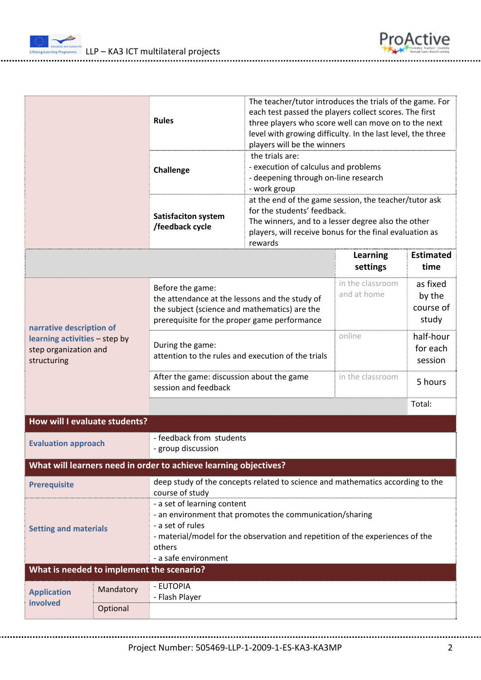



|                                                                                                   | <b>Rules</b><br>Challenge<br><b>Satisfaciton system</b><br>/feedback cycle                                                                                          | The teacher/tutor introduces the trials of the game. For<br>each test passed the players collect scores. The first<br>three players who score well can move on to the next<br>level with growing difficulty. In the last level, the three<br>players will be the winners<br>the trials are:<br>- execution of calculus and problems<br>- deepening through on-line research<br>- work group<br>at the end of the game session, the teacher/tutor ask<br>for the students' feedback.<br>The winners, and to a lesser degree also the other<br>players, will receive bonus for the final evaluation as<br>rewards |                                 |                                          |  |
|---------------------------------------------------------------------------------------------------|---------------------------------------------------------------------------------------------------------------------------------------------------------------------|-----------------------------------------------------------------------------------------------------------------------------------------------------------------------------------------------------------------------------------------------------------------------------------------------------------------------------------------------------------------------------------------------------------------------------------------------------------------------------------------------------------------------------------------------------------------------------------------------------------------|---------------------------------|------------------------------------------|--|
|                                                                                                   |                                                                                                                                                                     |                                                                                                                                                                                                                                                                                                                                                                                                                                                                                                                                                                                                                 | <b>Learning</b><br>settings     | <b>Estimated</b><br>time                 |  |
| narrative description of<br>learning activities - step by<br>step organization and<br>structuring | Before the game:<br>the attendance at the lessons and the study of<br>the subject (science and mathematics) are the<br>prerequisite for the proper game performance |                                                                                                                                                                                                                                                                                                                                                                                                                                                                                                                                                                                                                 | in the classroom<br>and at home | as fixed<br>by the<br>course of<br>study |  |
|                                                                                                   | During the game:<br>attention to the rules and execution of the trials                                                                                              |                                                                                                                                                                                                                                                                                                                                                                                                                                                                                                                                                                                                                 | online                          | half-hour<br>for each<br>session         |  |
|                                                                                                   | After the game: discussion about the game<br>session and feedback                                                                                                   |                                                                                                                                                                                                                                                                                                                                                                                                                                                                                                                                                                                                                 | in the classroom                | 5 hours<br>Total:                        |  |
| How will I evaluate students?                                                                     |                                                                                                                                                                     |                                                                                                                                                                                                                                                                                                                                                                                                                                                                                                                                                                                                                 |                                 |                                          |  |
| <b>Evaluation approach</b>                                                                        | - feedback from students<br>- group discussion                                                                                                                      |                                                                                                                                                                                                                                                                                                                                                                                                                                                                                                                                                                                                                 |                                 |                                          |  |
| What will learners need in order to achieve learning objectives?                                  |                                                                                                                                                                     |                                                                                                                                                                                                                                                                                                                                                                                                                                                                                                                                                                                                                 |                                 |                                          |  |
| <b>Prerequisite</b><br><b>Setting and materials</b>                                               | course of study<br>- a set of learning content<br>- a set of rules<br>others<br>- a safe environment                                                                | deep study of the concepts related to science and mathematics according to the<br>- an environment that promotes the communication/sharing<br>- material/model for the observation and repetition of the experiences of the                                                                                                                                                                                                                                                                                                                                                                                     |                                 |                                          |  |
| What is needed to implement the scenario?                                                         |                                                                                                                                                                     |                                                                                                                                                                                                                                                                                                                                                                                                                                                                                                                                                                                                                 |                                 |                                          |  |
| Mandatory<br><b>Application</b>                                                                   | - EUTOPIA<br>- Flash Player                                                                                                                                         |                                                                                                                                                                                                                                                                                                                                                                                                                                                                                                                                                                                                                 |                                 |                                          |  |
| involved<br>Optional                                                                              |                                                                                                                                                                     |                                                                                                                                                                                                                                                                                                                                                                                                                                                                                                                                                                                                                 |                                 |                                          |  |